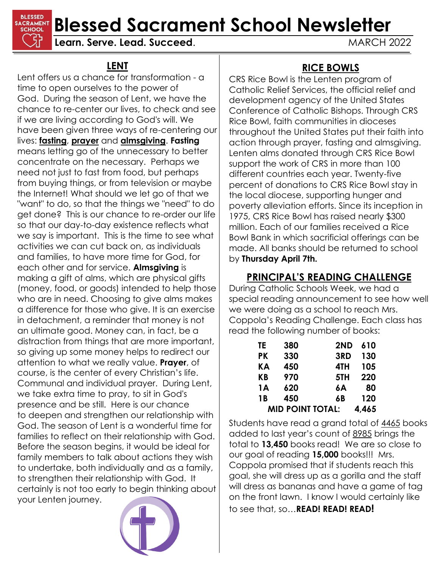**BLESSED Blessed** Sacrament School Newsletter

**Learn. Serve. Lead. Succeed.** MARCH 2022

### **LENT**

Lent offers us a chance for transformation - a time to open ourselves to the power of God. During the season of Lent, we have the chance to re-center our lives, to check and see if we are living according to God's will. We have been given three ways of re-centering our lives: **fasting**, **prayer** and **almsgiving**. **Fasting** means letting go of the unnecessary to better concentrate on the necessary. Perhaps we need not just to fast from food, but perhaps from buying things, or from television or maybe the Internet! What should we let go of that we "want" to do, so that the things we "need" to do get done? This is our chance to re-order our life so that our day-to-day existence reflects what we say is important. This is the time to see what activities we can cut back on, as individuals and families, to have more time for God, for each other and for service. **Almsgiving** is making a gift of alms, which are physical gifts (money, food, or goods) intended to help those who are in need. Choosing to give alms makes a difference for those who give. It is an exercise in detachment, a reminder that money is not an ultimate good. Money can, in fact, be a distraction from things that are more important, so giving up some money helps to redirect our attention to what we really value. **Prayer**, of course, is the center of every Christian's life. Communal and individual prayer. During Lent, we take extra time to pray, to sit in God's presence and be still. Here is our chance to deepen and strengthen our relationship with God. The season of Lent is a wonderful time for families to reflect on their relationship with God. Before the season begins, it would be ideal for family members to talk about actions they wish to undertake, both individually and as a family, to strengthen their relationship with God. It certainly is not too early to begin thinking about your Lenten journey.



# **RICE BOWLS**

CRS Rice Bowl is the Lenten program of Catholic Relief Services, the official relief and development agency of the United States Conference of Catholic Bishops. Through CRS Rice Bowl, faith communities in dioceses throughout the United States put their faith into action through prayer, fasting and almsgiving. Lenten alms donated through CRS Rice Bowl support the work of CRS in more than 100 different countries each year. Twenty-five percent of donations to CRS Rice Bowl stay in the local diocese, supporting hunger and poverty alleviation efforts. Since its inception in 1975, CRS Rice Bowl has raised nearly \$300 million. Each of our families received a Rice Bowl Bank in which sacrificial offerings can be made. All banks should be returned to school by **Thursday April 7th.**

# **PRINCIPAL'S READING CHALLENGE**

During Catholic Schools Week, we had a special reading announcement to see how well we were doing as a school to reach Mrs. Coppola's Reading Challenge. Each class has read the following number of books:

| TE                      | 380 | 2ND | 610   |
|-------------------------|-----|-----|-------|
| PК                      | 330 | 3RD | 130   |
| KА                      | 450 | 4TH | 105   |
| <b>KB</b>               | 970 | 5TH | 220   |
| 1A                      | 620 | 6A  | 80    |
| 1 <b>B</b>              | 450 | 6B  | 120   |
| <b>MID POINT TOTAL:</b> |     |     | 4,465 |

Students have read a grand total of 4465 books added to last year's count of 8985 brings the total to **13,450** books read! We are so close to our goal of reading **15,000** books!!! Mrs. Coppola promised that if students reach this goal, she will dress up as a gorilla and the staff will dress as bananas and have a game of tag on the front lawn. I know I would certainly like to see that, so…**READ! READ! READ!**